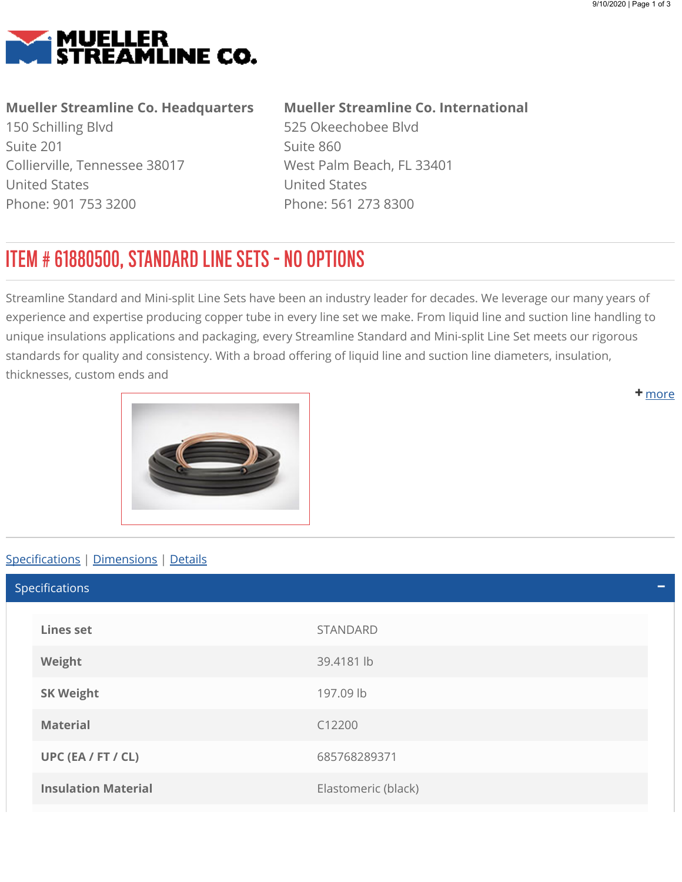<span id="page-0-0"></span>

## Mueller Streamline Co. Headquarters

150 Schilling Blvd Suite 201 Collierville, Tennessee 38017 United States Phone: 901 753 3200

## Mueller Streamline Co. International

525 Okeechobee Blvd Suite 860 West Palm Beach, FL 33401 United States Phone: 561 273 8300

## ITEM # 61880500, STANDARD LINE SETS - NO OPTIONS

Streamline Standard and Mini-split Line Sets have been an industry leader for decades. We leverage our many years of experience and expertise producing copper tube in every line set we make. From liquid line and suction line handling to unique insulations applications and packaging, every Streamline Standard and Mini-split Line Set meets our rigorous standards for quality and consistency. With a broad offering of liquid line and suction line diameters, insulation, thicknesses, custom ends and

<span id="page-0-1"></span>

## Specifications | [Dimensions](#page-1-0) | [Details](#page-1-1)

Lines set STANDARD Weight 39.4181 lb SK Weight 197.09 lb Material C12200 UPC (EA / FT / CL) 685768289371 **Insulation Material Elastomeric (black)** Specifications

**+** [m](#page-0-0)ore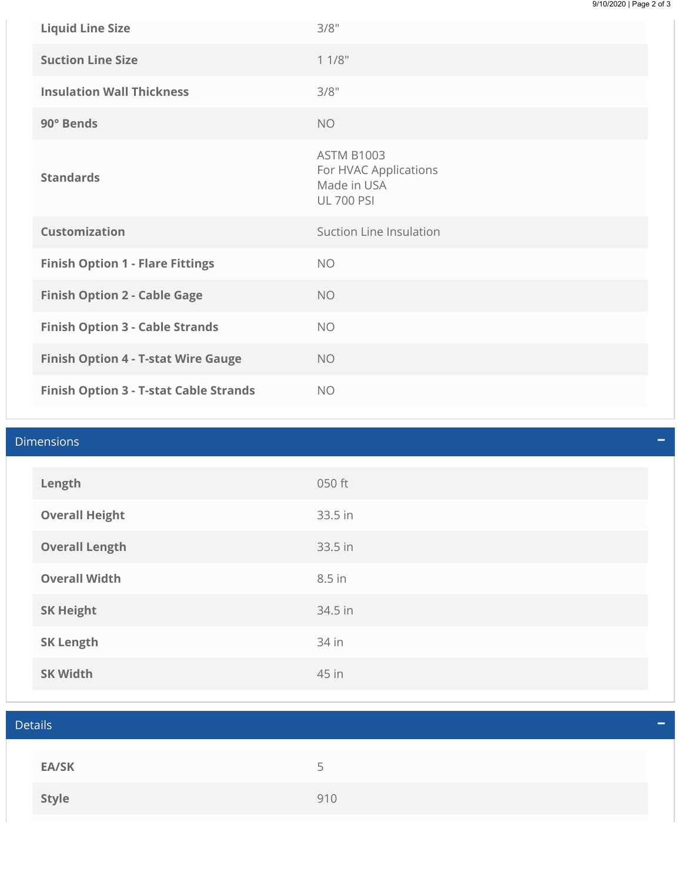| <b>Liquid Line Size</b>                       | 3/8"                                                                           |
|-----------------------------------------------|--------------------------------------------------------------------------------|
| <b>Suction Line Size</b>                      | 11/8"                                                                          |
| <b>Insulation Wall Thickness</b>              | 3/8"                                                                           |
| 90° Bends                                     | <b>NO</b>                                                                      |
| <b>Standards</b>                              | <b>ASTM B1003</b><br>For HVAC Applications<br>Made in USA<br><b>UL 700 PSI</b> |
| <b>Customization</b>                          | Suction Line Insulation                                                        |
| <b>Finish Option 1 - Flare Fittings</b>       | <b>NO</b>                                                                      |
| <b>Finish Option 2 - Cable Gage</b>           | <b>NO</b>                                                                      |
| <b>Finish Option 3 - Cable Strands</b>        | <b>NO</b>                                                                      |
| <b>Finish Option 4 - T-stat Wire Gauge</b>    | <b>NO</b>                                                                      |
| <b>Finish Option 3 - T-stat Cable Strands</b> | <b>NO</b>                                                                      |

<span id="page-1-1"></span><span id="page-1-0"></span>

| <b>Dimensions</b><br>- |                       |         |  |
|------------------------|-----------------------|---------|--|
|                        | Length                | 050 ft  |  |
|                        | <b>Overall Height</b> | 33.5 in |  |
|                        | <b>Overall Length</b> | 33.5 in |  |
|                        | <b>Overall Width</b>  | 8.5 in  |  |
|                        | <b>SK Height</b>      | 34.5 in |  |
|                        | <b>SK Length</b>      | 34 in   |  |
|                        | <b>SK Width</b>       | 45 in   |  |

| <b>Details</b> |                          |  |
|----------------|--------------------------|--|
|                |                          |  |
| <b>EA/SK</b>   | $\overline{\phantom{a}}$ |  |
| Style          | 910                      |  |
|                |                          |  |